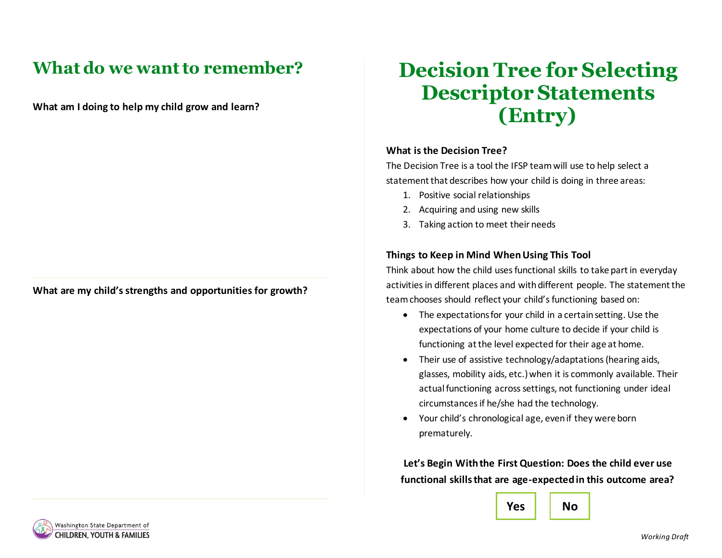## **What do we want to remember?**

**What am I doing to help my child grow and learn?**

**What are my child's strengths and opportunities for growth?**

## **Decision Tree for Selecting Descriptor Statements (Entry)**

## **What is the Decision Tree?**

The Decision Tree is a tool the IFSP team will use to help select a statement that describes how your child is doing in three areas:

- 1. Positive social relationships
- 2. Acquiring and using new skills
- 3. Taking action to meet their needs

## **Things to Keep in Mind When Using This Tool**

Think about how the child uses functional skills to take part in everyday activities in different places and with different people. The statement the team chooses should reflect your child's functioning based on:

- The expectations for your child in a certain setting. Use the expectations of your home culture to decide if your child is functioning at the level expected for their age at home.
- Their use of assistive technology/adaptations (hearing aids, glasses, mobility aids, etc.) when it is commonly available. Their actual functioning across settings, not functioning under ideal circumstances if he/she had the technology.
- Your child's chronological age, even if they were born prematurely.

**Let's Begin With the First Question: Does the child ever use functional skills that are age-expected in this outcome area?**